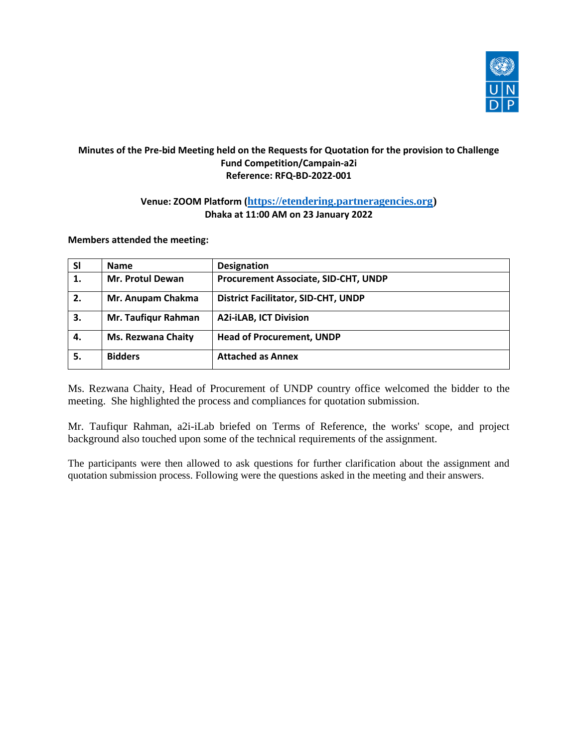

## **Minutes of the Pre-bid Meeting held on the Requests for Quotation for the provision to Challenge Fund Competition/Campain-a2i Reference: RFQ-BD-2022-001**

## **Venue: ZOOM Platform ([https://etendering.partneragencies.org\)](https://etendering.partneragencies.org/) Dhaka at 11:00 AM on 23 January 2022**

**Members attended the meeting:**

| <b>SI</b> | <b>Name</b>               | <b>Designation</b>                          |
|-----------|---------------------------|---------------------------------------------|
| 1.        | <b>Mr. Protul Dewan</b>   | <b>Procurement Associate, SID-CHT, UNDP</b> |
| 2.        | Mr. Anupam Chakma         | <b>District Facilitator, SID-CHT, UNDP</b>  |
| 3.        | Mr. Taufiqur Rahman       | <b>A2i-iLAB, ICT Division</b>               |
| 4.        | <b>Ms. Rezwana Chaity</b> | <b>Head of Procurement, UNDP</b>            |
| 5.        | <b>Bidders</b>            | <b>Attached as Annex</b>                    |

Ms. Rezwana Chaity, Head of Procurement of UNDP country office welcomed the bidder to the meeting. She highlighted the process and compliances for quotation submission.

Mr. Taufiqur Rahman, a2i-iLab briefed on Terms of Reference, the works' scope, and project background also touched upon some of the technical requirements of the assignment.

The participants were then allowed to ask questions for further clarification about the assignment and quotation submission process. Following were the questions asked in the meeting and their answers.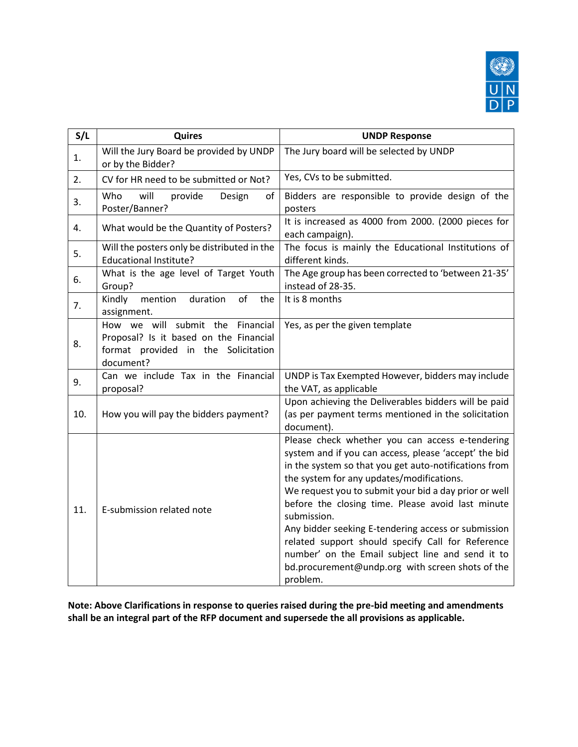

| S/L | Quires                                                                                                                         | <b>UNDP Response</b>                                                                                                                                                                                                                                                                                                                                                                                                                                                                                                                                                        |  |  |
|-----|--------------------------------------------------------------------------------------------------------------------------------|-----------------------------------------------------------------------------------------------------------------------------------------------------------------------------------------------------------------------------------------------------------------------------------------------------------------------------------------------------------------------------------------------------------------------------------------------------------------------------------------------------------------------------------------------------------------------------|--|--|
| 1.  | Will the Jury Board be provided by UNDP<br>or by the Bidder?                                                                   | The Jury board will be selected by UNDP                                                                                                                                                                                                                                                                                                                                                                                                                                                                                                                                     |  |  |
| 2.  | CV for HR need to be submitted or Not?                                                                                         | Yes, CVs to be submitted.                                                                                                                                                                                                                                                                                                                                                                                                                                                                                                                                                   |  |  |
| 3.  | Who<br>will<br>provide<br>Design<br>of<br>Poster/Banner?                                                                       | Bidders are responsible to provide design of the<br>posters                                                                                                                                                                                                                                                                                                                                                                                                                                                                                                                 |  |  |
| 4.  | What would be the Quantity of Posters?                                                                                         | It is increased as 4000 from 2000. (2000 pieces for<br>each campaign).                                                                                                                                                                                                                                                                                                                                                                                                                                                                                                      |  |  |
| 5.  | Will the posters only be distributed in the<br><b>Educational Institute?</b>                                                   | The focus is mainly the Educational Institutions of<br>different kinds.                                                                                                                                                                                                                                                                                                                                                                                                                                                                                                     |  |  |
| 6.  | What is the age level of Target Youth<br>Group?                                                                                | The Age group has been corrected to 'between 21-35'<br>instead of 28-35.                                                                                                                                                                                                                                                                                                                                                                                                                                                                                                    |  |  |
| 7.  | Kindly<br>duration<br>of<br>mention<br>the<br>assignment.                                                                      | It is 8 months                                                                                                                                                                                                                                                                                                                                                                                                                                                                                                                                                              |  |  |
| 8.  | How we will submit the Financial<br>Proposal? Is it based on the Financial<br>format provided in the Solicitation<br>document? | Yes, as per the given template                                                                                                                                                                                                                                                                                                                                                                                                                                                                                                                                              |  |  |
| 9.  | Can we include Tax in the Financial<br>proposal?                                                                               | UNDP is Tax Exempted However, bidders may include<br>the VAT, as applicable                                                                                                                                                                                                                                                                                                                                                                                                                                                                                                 |  |  |
| 10. | How you will pay the bidders payment?                                                                                          | Upon achieving the Deliverables bidders will be paid<br>(as per payment terms mentioned in the solicitation<br>document).                                                                                                                                                                                                                                                                                                                                                                                                                                                   |  |  |
| 11. | E-submission related note                                                                                                      | Please check whether you can access e-tendering<br>system and if you can access, please 'accept' the bid<br>in the system so that you get auto-notifications from<br>the system for any updates/modifications.<br>We request you to submit your bid a day prior or well<br>before the closing time. Please avoid last minute<br>submission.<br>Any bidder seeking E-tendering access or submission<br>related support should specify Call for Reference<br>number' on the Email subject line and send it to<br>bd.procurement@undp.org with screen shots of the<br>problem. |  |  |

**Note: Above Clarifications in response to queries raised during the pre-bid meeting and amendments shall be an integral part of the RFP document and supersede the all provisions as applicable.**